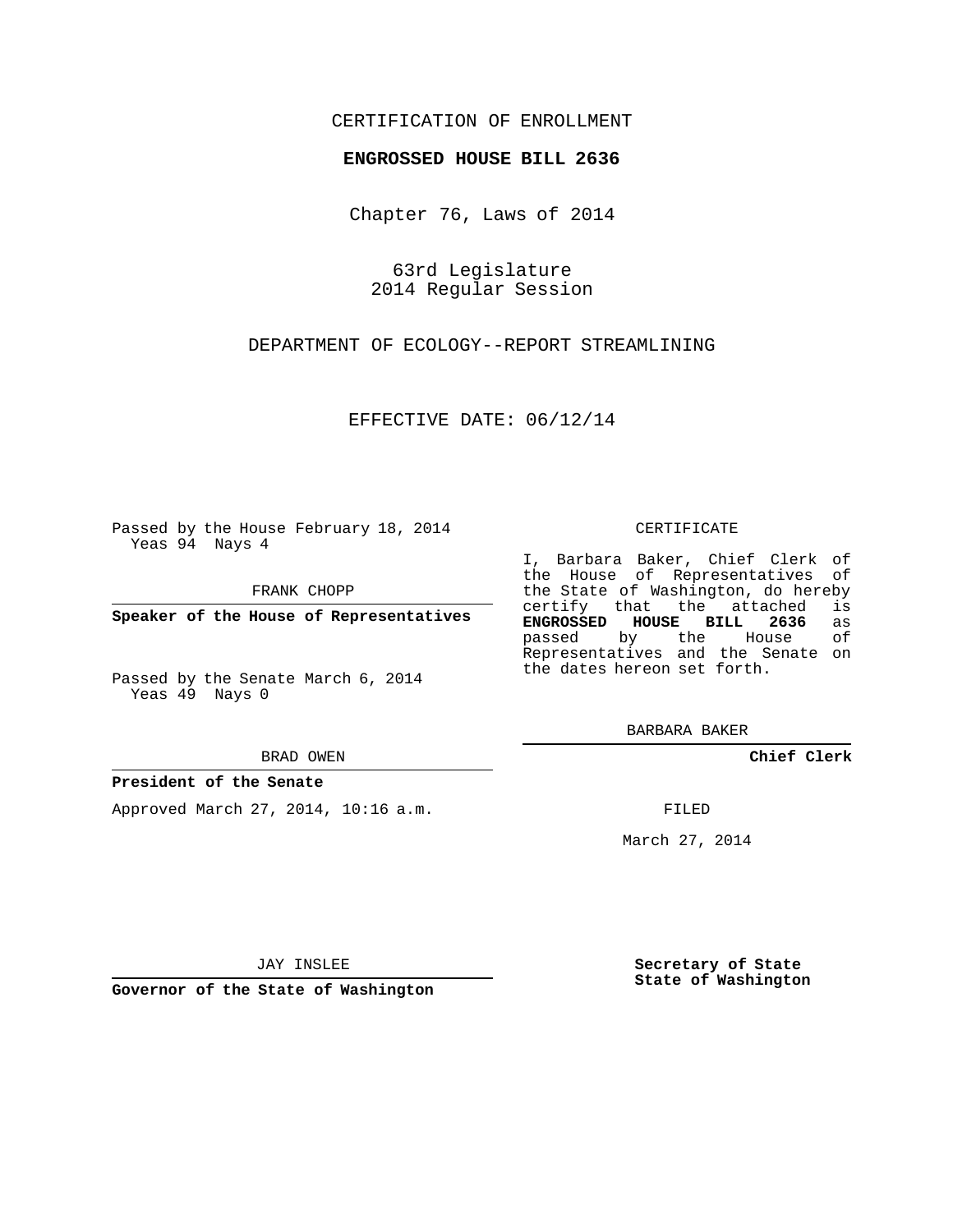# CERTIFICATION OF ENROLLMENT

## **ENGROSSED HOUSE BILL 2636**

Chapter 76, Laws of 2014

63rd Legislature 2014 Regular Session

DEPARTMENT OF ECOLOGY--REPORT STREAMLINING

EFFECTIVE DATE: 06/12/14

Passed by the House February 18, 2014 Yeas 94 Nays 4

FRANK CHOPP

**Speaker of the House of Representatives**

Passed by the Senate March 6, 2014 Yeas 49 Nays 0

#### BRAD OWEN

### **President of the Senate**

Approved March 27, 2014, 10:16 a.m.

#### CERTIFICATE

I, Barbara Baker, Chief Clerk of the House of Representatives of the State of Washington, do hereby<br>certify that the attached is certify that the attached **ENGROSSED HOUSE BILL 2636** as passed by the House Representatives and the Senate on the dates hereon set forth.

BARBARA BAKER

**Chief Clerk**

FILED

March 27, 2014

JAY INSLEE

**Governor of the State of Washington**

**Secretary of State State of Washington**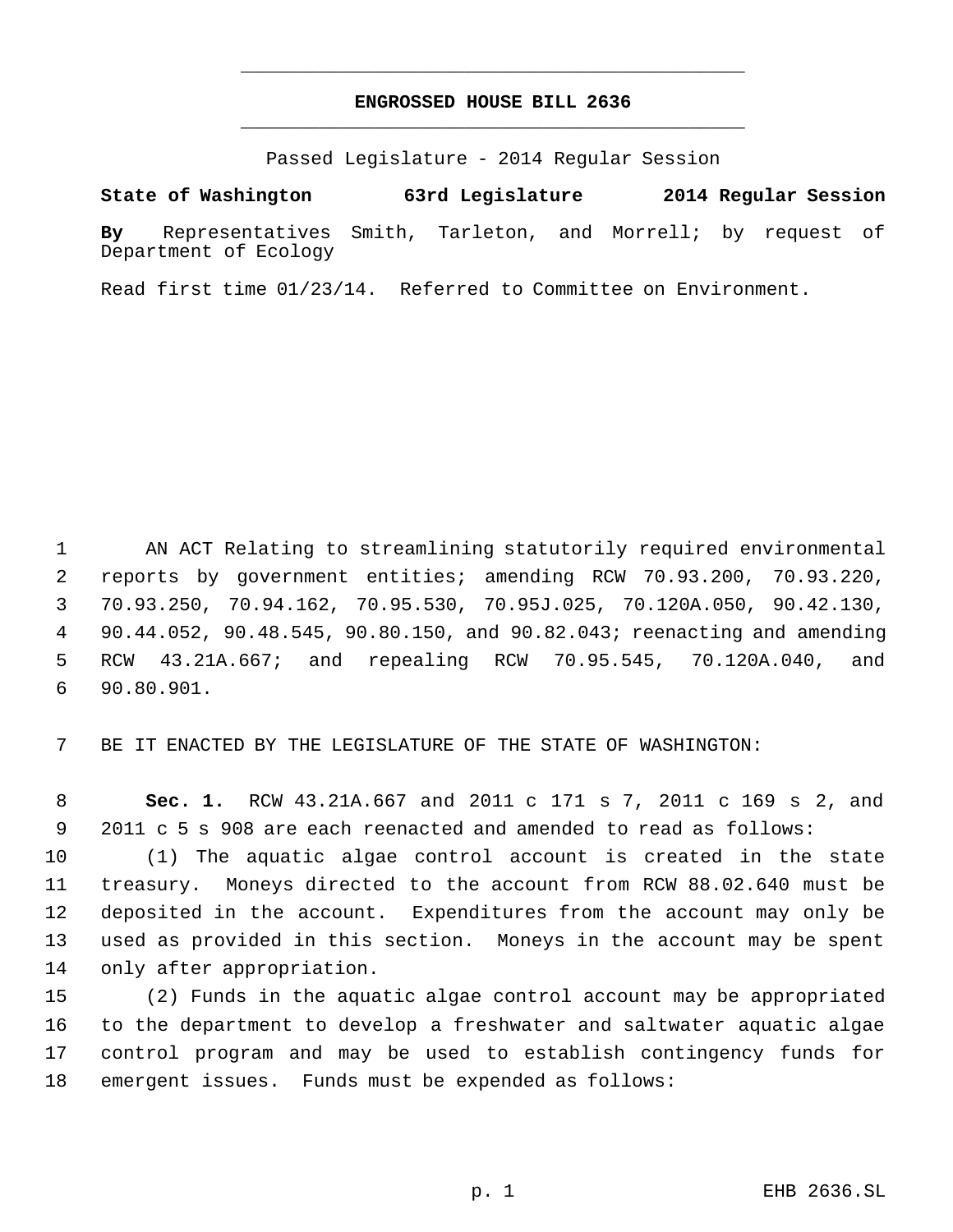# **ENGROSSED HOUSE BILL 2636** \_\_\_\_\_\_\_\_\_\_\_\_\_\_\_\_\_\_\_\_\_\_\_\_\_\_\_\_\_\_\_\_\_\_\_\_\_\_\_\_\_\_\_\_\_

\_\_\_\_\_\_\_\_\_\_\_\_\_\_\_\_\_\_\_\_\_\_\_\_\_\_\_\_\_\_\_\_\_\_\_\_\_\_\_\_\_\_\_\_\_

Passed Legislature - 2014 Regular Session

**State of Washington 63rd Legislature 2014 Regular Session**

**By** Representatives Smith, Tarleton, and Morrell; by request of Department of Ecology

Read first time 01/23/14. Referred to Committee on Environment.

 AN ACT Relating to streamlining statutorily required environmental reports by government entities; amending RCW 70.93.200, 70.93.220, 70.93.250, 70.94.162, 70.95.530, 70.95J.025, 70.120A.050, 90.42.130, 90.44.052, 90.48.545, 90.80.150, and 90.82.043; reenacting and amending RCW 43.21A.667; and repealing RCW 70.95.545, 70.120A.040, and 90.80.901.

BE IT ENACTED BY THE LEGISLATURE OF THE STATE OF WASHINGTON:

 **Sec. 1.** RCW 43.21A.667 and 2011 c 171 s 7, 2011 c 169 s 2, and 2011 c 5 s 908 are each reenacted and amended to read as follows:

 (1) The aquatic algae control account is created in the state treasury. Moneys directed to the account from RCW 88.02.640 must be deposited in the account. Expenditures from the account may only be used as provided in this section. Moneys in the account may be spent only after appropriation.

 (2) Funds in the aquatic algae control account may be appropriated to the department to develop a freshwater and saltwater aquatic algae control program and may be used to establish contingency funds for emergent issues. Funds must be expended as follows: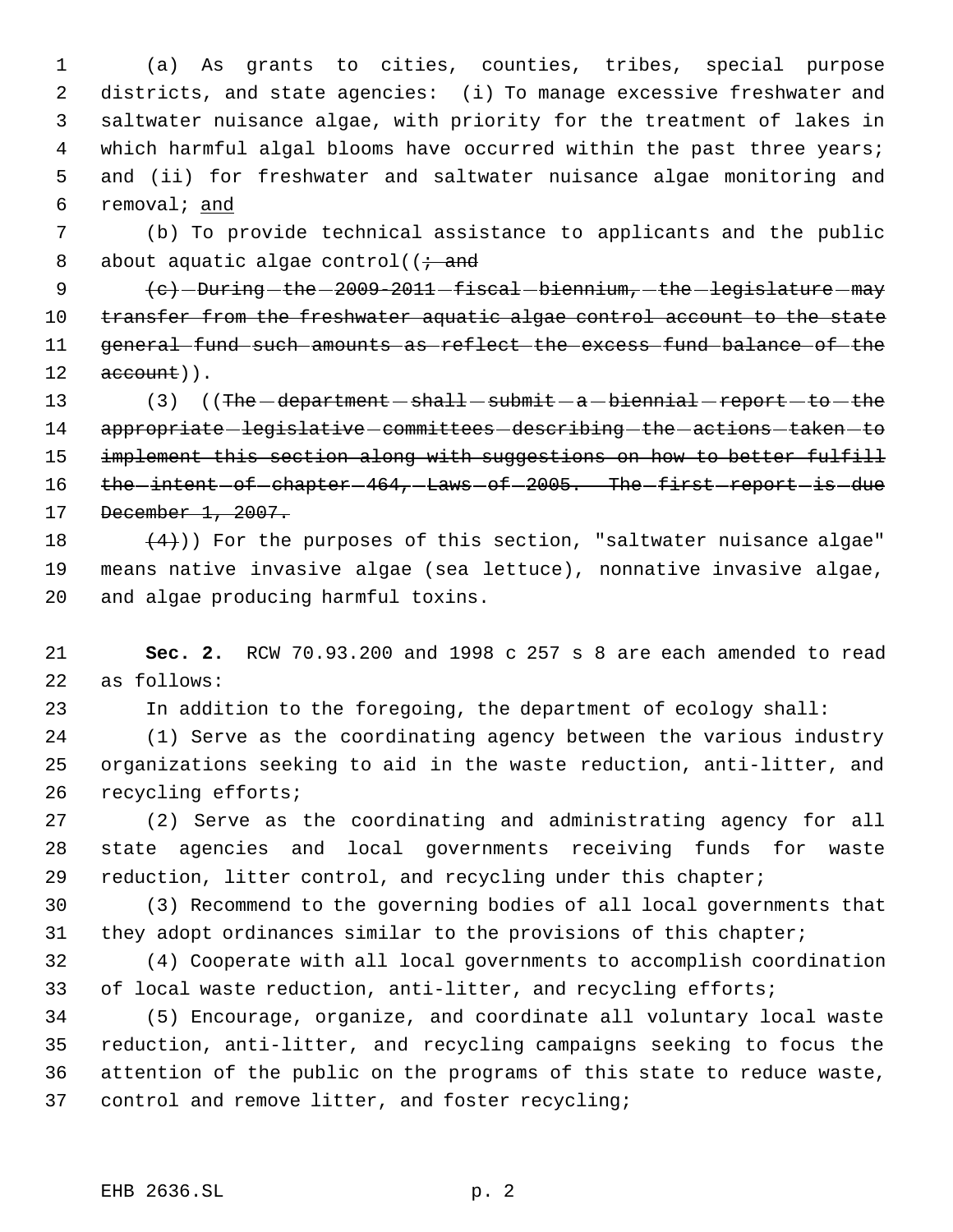(a) As grants to cities, counties, tribes, special purpose districts, and state agencies: (i) To manage excessive freshwater and saltwater nuisance algae, with priority for the treatment of lakes in 4 which harmful algal blooms have occurred within the past three years; and (ii) for freshwater and saltwater nuisance algae monitoring and removal; and

 (b) To provide technical assistance to applicants and the public 8 about aquatic algae control( $\ddot{i}$  and

 $\left\{e\right\}$  -During -the -2009-2011 -fiscal -biennium, -the -legislature -may 10 transfer from the freshwater aquatic algae control account to the state general fund such amounts as reflect the excess fund balance of the  $12 \qquad \text{account}$ ).

13 (3) ((The -department - shall - submit - a -biennial - report - to - the 14 appropriate-legislative-committees-describing-the-actions-taken-to 15 implement this section along with suggestions on how to better fulfill 16 the intent of chapter 464, Laws of 2005. The first report is due December 1, 2007.

18  $(4)$ )) For the purposes of this section, "saltwater nuisance algae" means native invasive algae (sea lettuce), nonnative invasive algae, and algae producing harmful toxins.

 **Sec. 2.** RCW 70.93.200 and 1998 c 257 s 8 are each amended to read as follows:

In addition to the foregoing, the department of ecology shall:

 (1) Serve as the coordinating agency between the various industry organizations seeking to aid in the waste reduction, anti-litter, and recycling efforts;

 (2) Serve as the coordinating and administrating agency for all state agencies and local governments receiving funds for waste reduction, litter control, and recycling under this chapter;

 (3) Recommend to the governing bodies of all local governments that 31 they adopt ordinances similar to the provisions of this chapter;

 (4) Cooperate with all local governments to accomplish coordination of local waste reduction, anti-litter, and recycling efforts;

 (5) Encourage, organize, and coordinate all voluntary local waste reduction, anti-litter, and recycling campaigns seeking to focus the attention of the public on the programs of this state to reduce waste, control and remove litter, and foster recycling;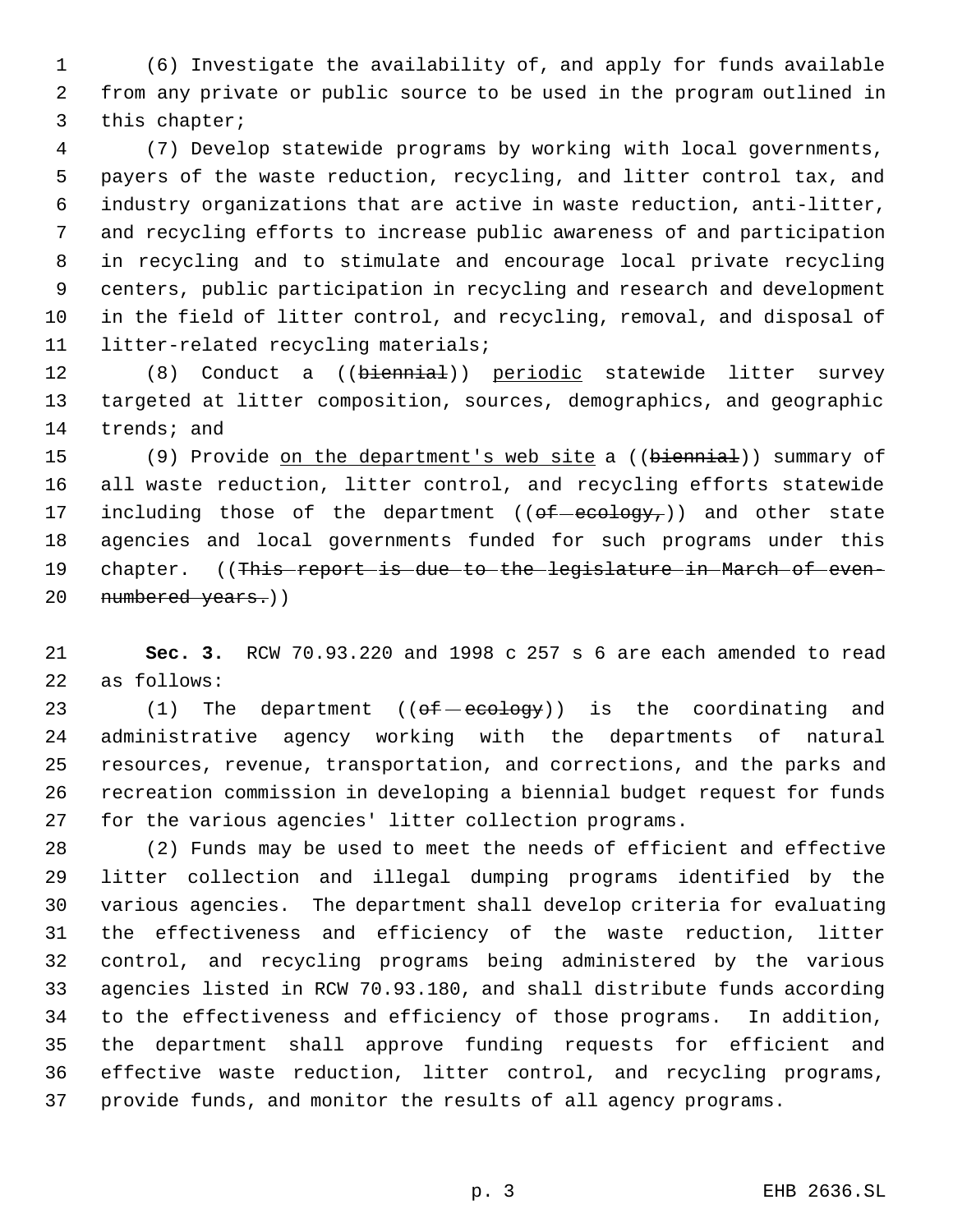(6) Investigate the availability of, and apply for funds available from any private or public source to be used in the program outlined in this chapter;

 (7) Develop statewide programs by working with local governments, payers of the waste reduction, recycling, and litter control tax, and industry organizations that are active in waste reduction, anti-litter, and recycling efforts to increase public awareness of and participation in recycling and to stimulate and encourage local private recycling centers, public participation in recycling and research and development in the field of litter control, and recycling, removal, and disposal of litter-related recycling materials;

12 (8) Conduct a ((biennial)) periodic statewide litter survey targeted at litter composition, sources, demographics, and geographic trends; and

15 (9) Provide on the department's web site a ((biennial)) summary of all waste reduction, litter control, and recycling efforts statewide 17 including those of the department  $(( $\theta$  +  $\theta$  +  $\theta$  +  $\theta$ )) and other state)$  agencies and local governments funded for such programs under this 19 chapter. ((This report is due to the legislature in March of even-20 numbered years.))

 **Sec. 3.** RCW 70.93.220 and 1998 c 257 s 6 are each amended to read as follows:

23 (1) The department  $((e f - e c o log y))$  is the coordinating and administrative agency working with the departments of natural resources, revenue, transportation, and corrections, and the parks and recreation commission in developing a biennial budget request for funds for the various agencies' litter collection programs.

 (2) Funds may be used to meet the needs of efficient and effective litter collection and illegal dumping programs identified by the various agencies. The department shall develop criteria for evaluating the effectiveness and efficiency of the waste reduction, litter control, and recycling programs being administered by the various agencies listed in RCW 70.93.180, and shall distribute funds according to the effectiveness and efficiency of those programs. In addition, the department shall approve funding requests for efficient and effective waste reduction, litter control, and recycling programs, provide funds, and monitor the results of all agency programs.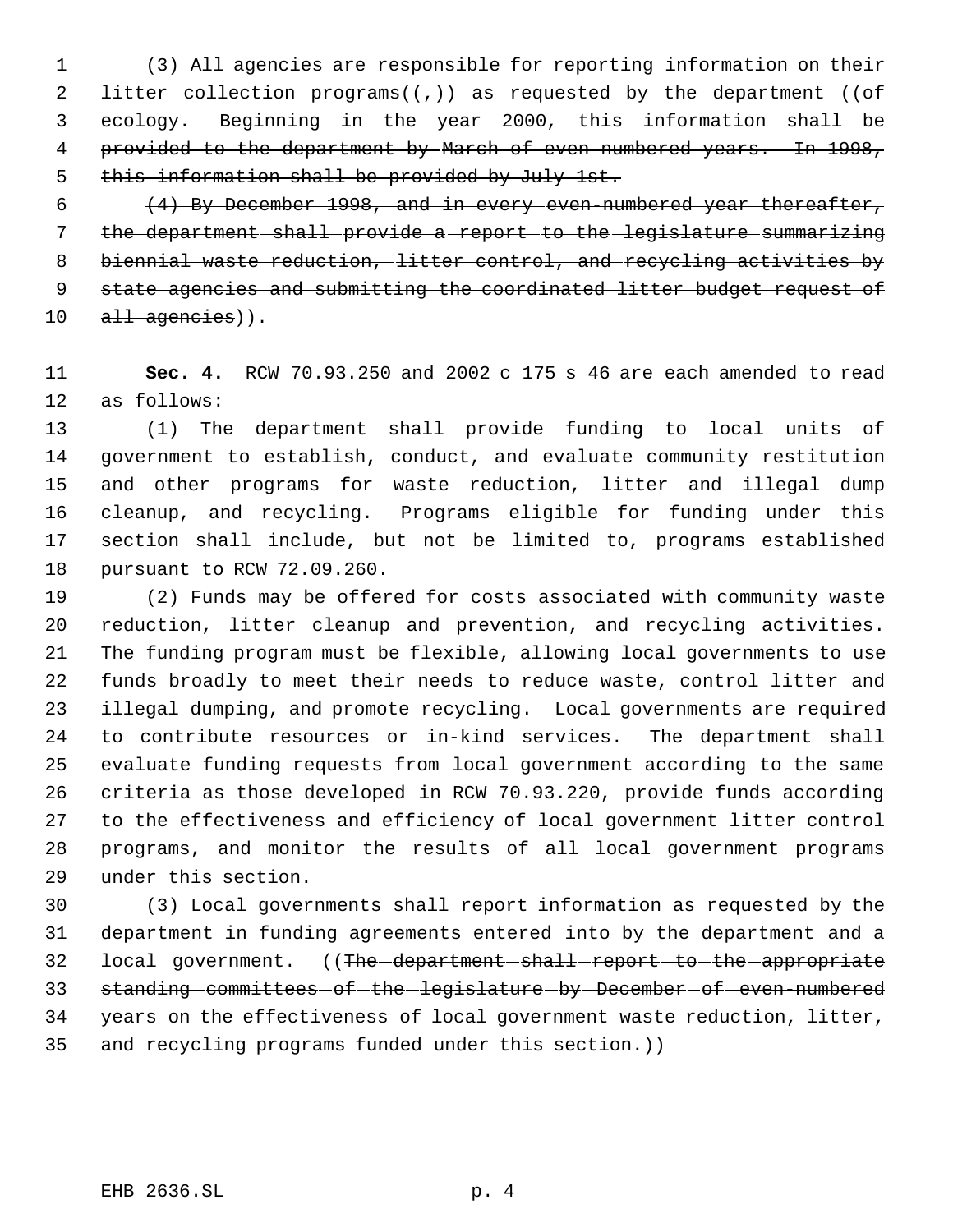(3) All agencies are responsible for reporting information on their 2 litter collection programs( $(\tau)$ ) as requested by the department (( $\theta$ f) ecology. Beginning  $-$  in  $-\text{the}$   $-\text{year}$   $2000$ ,  $-\text{this}$   $\text{information}$   $\text{shall}$   $\text{be}$ 4 provided to the department by March of even-numbered years. In 1998, this information shall be provided by July 1st.

 $(4)$  By December 1998, and in every even-numbered year thereafter, the department shall provide a report to the legislature summarizing biennial waste reduction, litter control, and recycling activities by state agencies and submitting the coordinated litter budget request of all agencies)).

 **Sec. 4.** RCW 70.93.250 and 2002 c 175 s 46 are each amended to read as follows:

 (1) The department shall provide funding to local units of government to establish, conduct, and evaluate community restitution and other programs for waste reduction, litter and illegal dump cleanup, and recycling. Programs eligible for funding under this section shall include, but not be limited to, programs established pursuant to RCW 72.09.260.

 (2) Funds may be offered for costs associated with community waste reduction, litter cleanup and prevention, and recycling activities. The funding program must be flexible, allowing local governments to use funds broadly to meet their needs to reduce waste, control litter and illegal dumping, and promote recycling. Local governments are required to contribute resources or in-kind services. The department shall evaluate funding requests from local government according to the same criteria as those developed in RCW 70.93.220, provide funds according to the effectiveness and efficiency of local government litter control programs, and monitor the results of all local government programs under this section.

 (3) Local governments shall report information as requested by the department in funding agreements entered into by the department and a 32 local government. ((The-department-shall-report-to-the-appropriate 33 standing-committees-of-the-legislature-by-December-of-even-numbered years on the effectiveness of local government waste reduction, litter, and recycling programs funded under this section.))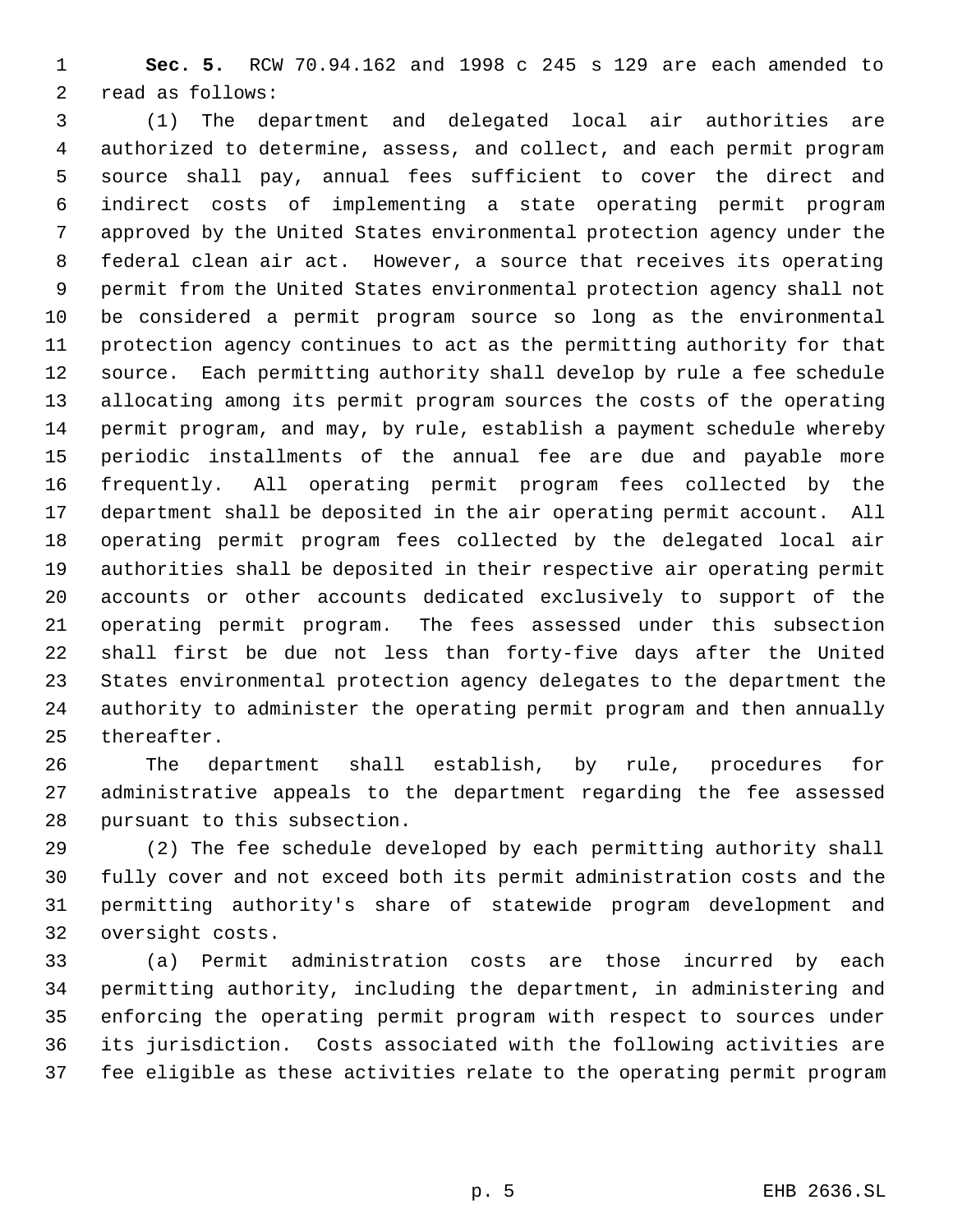**Sec. 5.** RCW 70.94.162 and 1998 c 245 s 129 are each amended to read as follows:

 (1) The department and delegated local air authorities are authorized to determine, assess, and collect, and each permit program source shall pay, annual fees sufficient to cover the direct and indirect costs of implementing a state operating permit program approved by the United States environmental protection agency under the federal clean air act. However, a source that receives its operating permit from the United States environmental protection agency shall not be considered a permit program source so long as the environmental protection agency continues to act as the permitting authority for that source. Each permitting authority shall develop by rule a fee schedule allocating among its permit program sources the costs of the operating permit program, and may, by rule, establish a payment schedule whereby periodic installments of the annual fee are due and payable more frequently. All operating permit program fees collected by the department shall be deposited in the air operating permit account. All operating permit program fees collected by the delegated local air authorities shall be deposited in their respective air operating permit accounts or other accounts dedicated exclusively to support of the operating permit program. The fees assessed under this subsection shall first be due not less than forty-five days after the United States environmental protection agency delegates to the department the authority to administer the operating permit program and then annually thereafter.

 The department shall establish, by rule, procedures for administrative appeals to the department regarding the fee assessed pursuant to this subsection.

 (2) The fee schedule developed by each permitting authority shall fully cover and not exceed both its permit administration costs and the permitting authority's share of statewide program development and oversight costs.

 (a) Permit administration costs are those incurred by each permitting authority, including the department, in administering and enforcing the operating permit program with respect to sources under its jurisdiction. Costs associated with the following activities are fee eligible as these activities relate to the operating permit program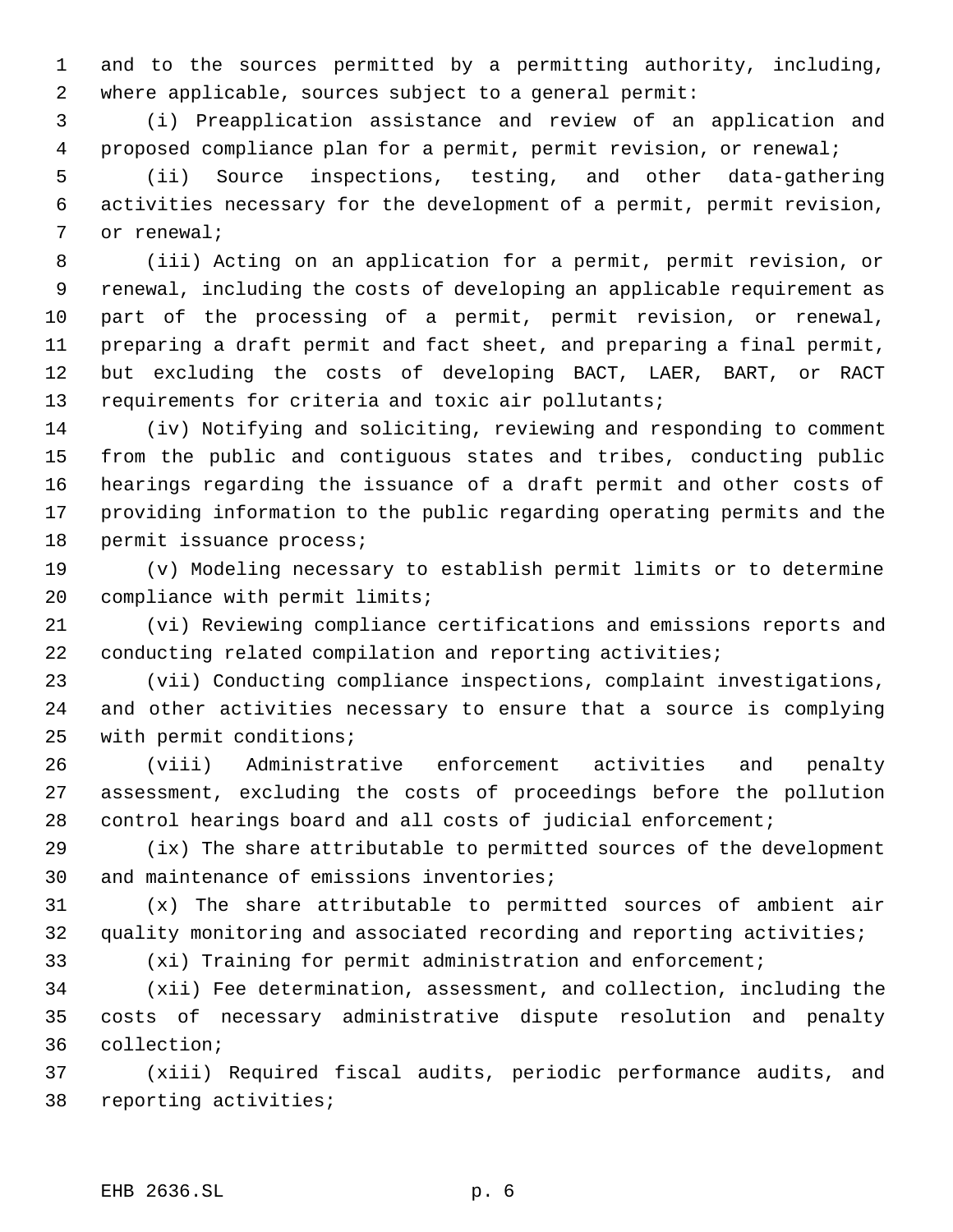and to the sources permitted by a permitting authority, including, where applicable, sources subject to a general permit:

 (i) Preapplication assistance and review of an application and proposed compliance plan for a permit, permit revision, or renewal;

 (ii) Source inspections, testing, and other data-gathering activities necessary for the development of a permit, permit revision, or renewal;

 (iii) Acting on an application for a permit, permit revision, or renewal, including the costs of developing an applicable requirement as part of the processing of a permit, permit revision, or renewal, preparing a draft permit and fact sheet, and preparing a final permit, but excluding the costs of developing BACT, LAER, BART, or RACT requirements for criteria and toxic air pollutants;

 (iv) Notifying and soliciting, reviewing and responding to comment from the public and contiguous states and tribes, conducting public hearings regarding the issuance of a draft permit and other costs of providing information to the public regarding operating permits and the permit issuance process;

 (v) Modeling necessary to establish permit limits or to determine compliance with permit limits;

 (vi) Reviewing compliance certifications and emissions reports and conducting related compilation and reporting activities;

 (vii) Conducting compliance inspections, complaint investigations, and other activities necessary to ensure that a source is complying with permit conditions;

 (viii) Administrative enforcement activities and penalty assessment, excluding the costs of proceedings before the pollution control hearings board and all costs of judicial enforcement;

 (ix) The share attributable to permitted sources of the development and maintenance of emissions inventories;

 (x) The share attributable to permitted sources of ambient air quality monitoring and associated recording and reporting activities;

(xi) Training for permit administration and enforcement;

 (xii) Fee determination, assessment, and collection, including the costs of necessary administrative dispute resolution and penalty collection;

 (xiii) Required fiscal audits, periodic performance audits, and reporting activities;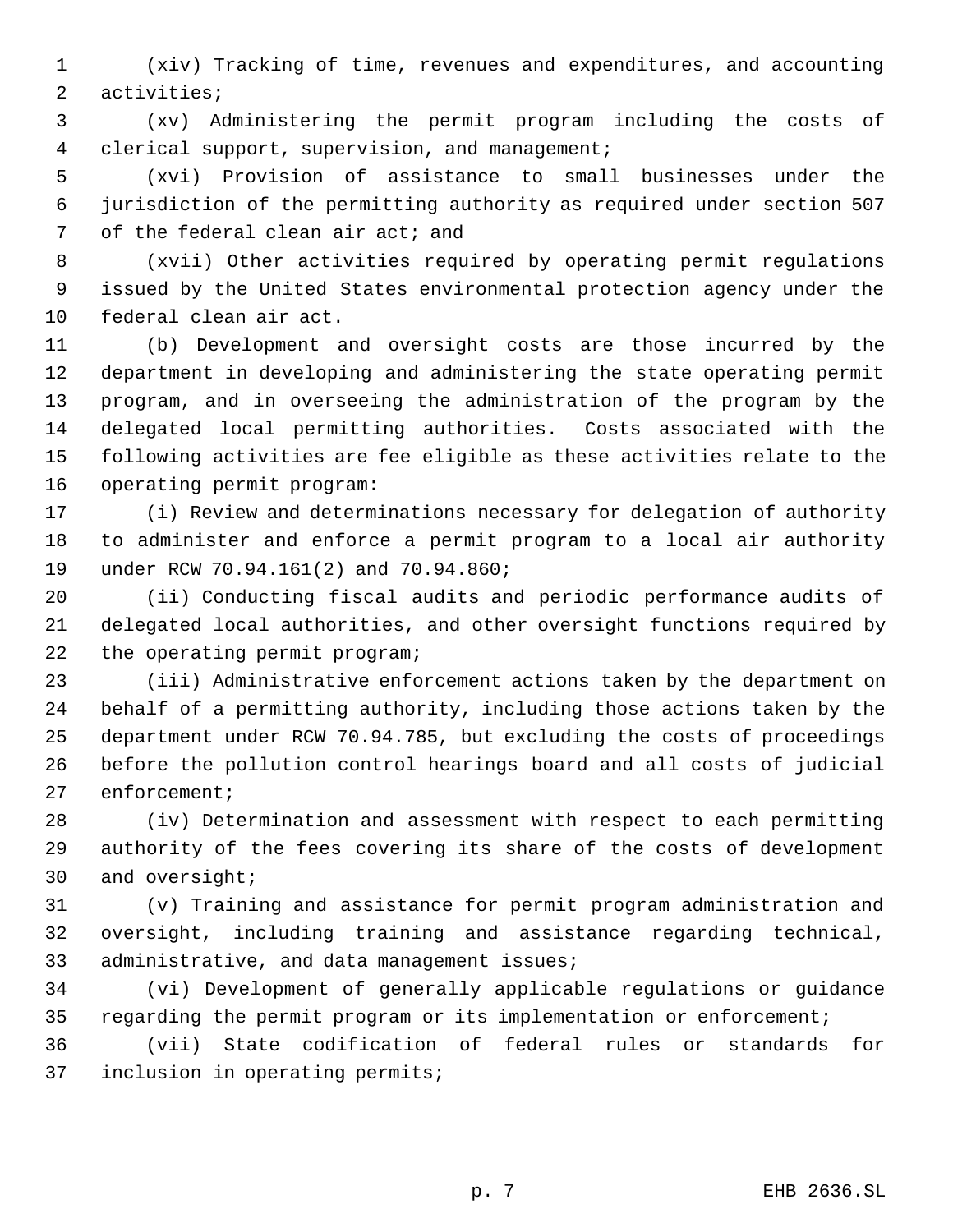(xiv) Tracking of time, revenues and expenditures, and accounting activities;

 (xv) Administering the permit program including the costs of clerical support, supervision, and management;

 (xvi) Provision of assistance to small businesses under the jurisdiction of the permitting authority as required under section 507 of the federal clean air act; and

 (xvii) Other activities required by operating permit regulations issued by the United States environmental protection agency under the federal clean air act.

 (b) Development and oversight costs are those incurred by the department in developing and administering the state operating permit program, and in overseeing the administration of the program by the delegated local permitting authorities. Costs associated with the following activities are fee eligible as these activities relate to the operating permit program:

 (i) Review and determinations necessary for delegation of authority to administer and enforce a permit program to a local air authority under RCW 70.94.161(2) and 70.94.860;

 (ii) Conducting fiscal audits and periodic performance audits of delegated local authorities, and other oversight functions required by the operating permit program;

 (iii) Administrative enforcement actions taken by the department on behalf of a permitting authority, including those actions taken by the department under RCW 70.94.785, but excluding the costs of proceedings before the pollution control hearings board and all costs of judicial enforcement;

 (iv) Determination and assessment with respect to each permitting authority of the fees covering its share of the costs of development and oversight;

 (v) Training and assistance for permit program administration and oversight, including training and assistance regarding technical, 33 administrative, and data management issues;

 (vi) Development of generally applicable regulations or guidance regarding the permit program or its implementation or enforcement;

 (vii) State codification of federal rules or standards for inclusion in operating permits;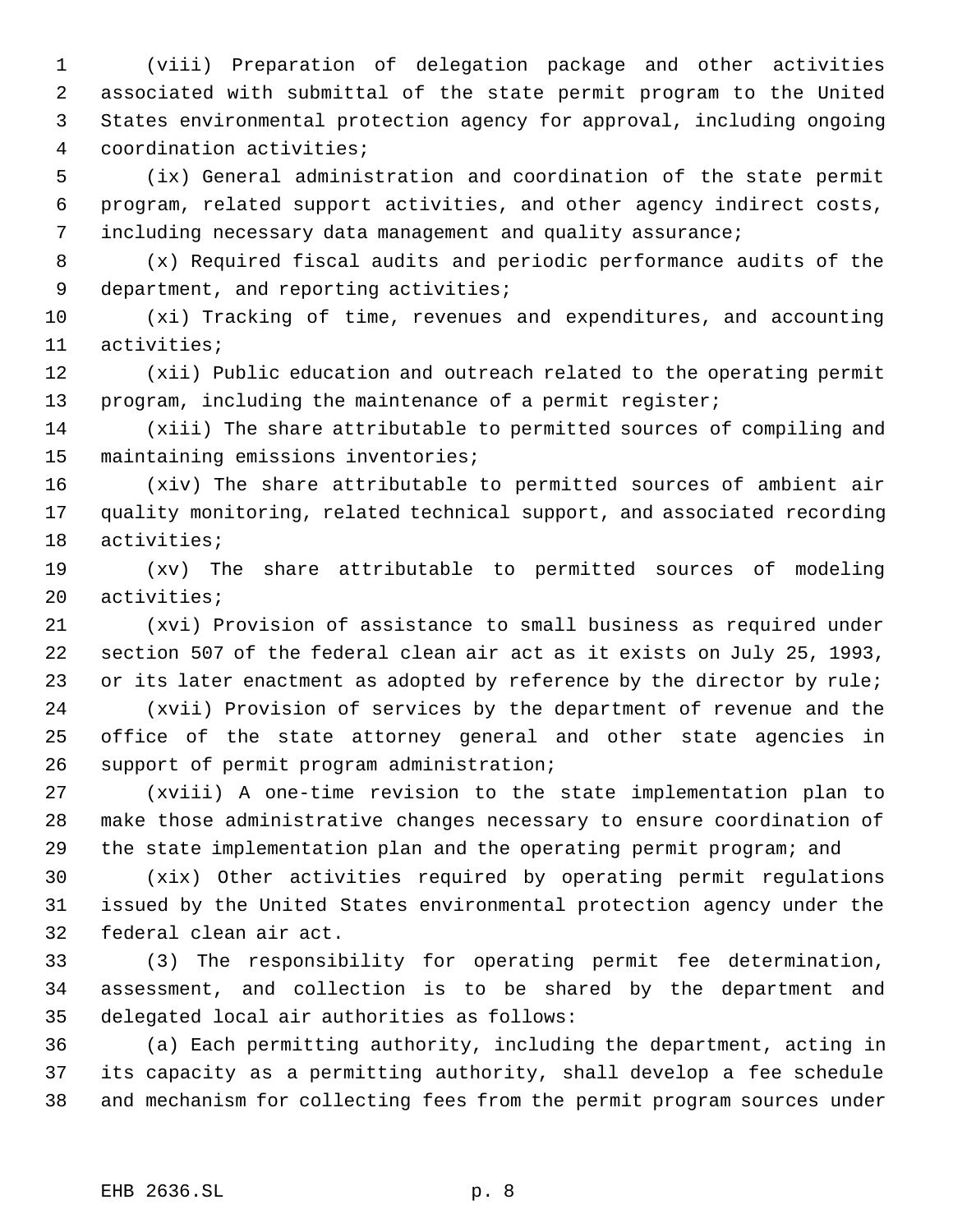(viii) Preparation of delegation package and other activities associated with submittal of the state permit program to the United States environmental protection agency for approval, including ongoing coordination activities;

 (ix) General administration and coordination of the state permit program, related support activities, and other agency indirect costs, including necessary data management and quality assurance;

 (x) Required fiscal audits and periodic performance audits of the 9 department, and reporting activities;

 (xi) Tracking of time, revenues and expenditures, and accounting activities;

 (xii) Public education and outreach related to the operating permit program, including the maintenance of a permit register;

 (xiii) The share attributable to permitted sources of compiling and maintaining emissions inventories;

 (xiv) The share attributable to permitted sources of ambient air quality monitoring, related technical support, and associated recording activities;

 (xv) The share attributable to permitted sources of modeling activities;

 (xvi) Provision of assistance to small business as required under section 507 of the federal clean air act as it exists on July 25, 1993, 23 or its later enactment as adopted by reference by the director by rule;

 (xvii) Provision of services by the department of revenue and the office of the state attorney general and other state agencies in support of permit program administration;

 (xviii) A one-time revision to the state implementation plan to make those administrative changes necessary to ensure coordination of the state implementation plan and the operating permit program; and

 (xix) Other activities required by operating permit regulations issued by the United States environmental protection agency under the federal clean air act.

 (3) The responsibility for operating permit fee determination, assessment, and collection is to be shared by the department and delegated local air authorities as follows:

 (a) Each permitting authority, including the department, acting in its capacity as a permitting authority, shall develop a fee schedule and mechanism for collecting fees from the permit program sources under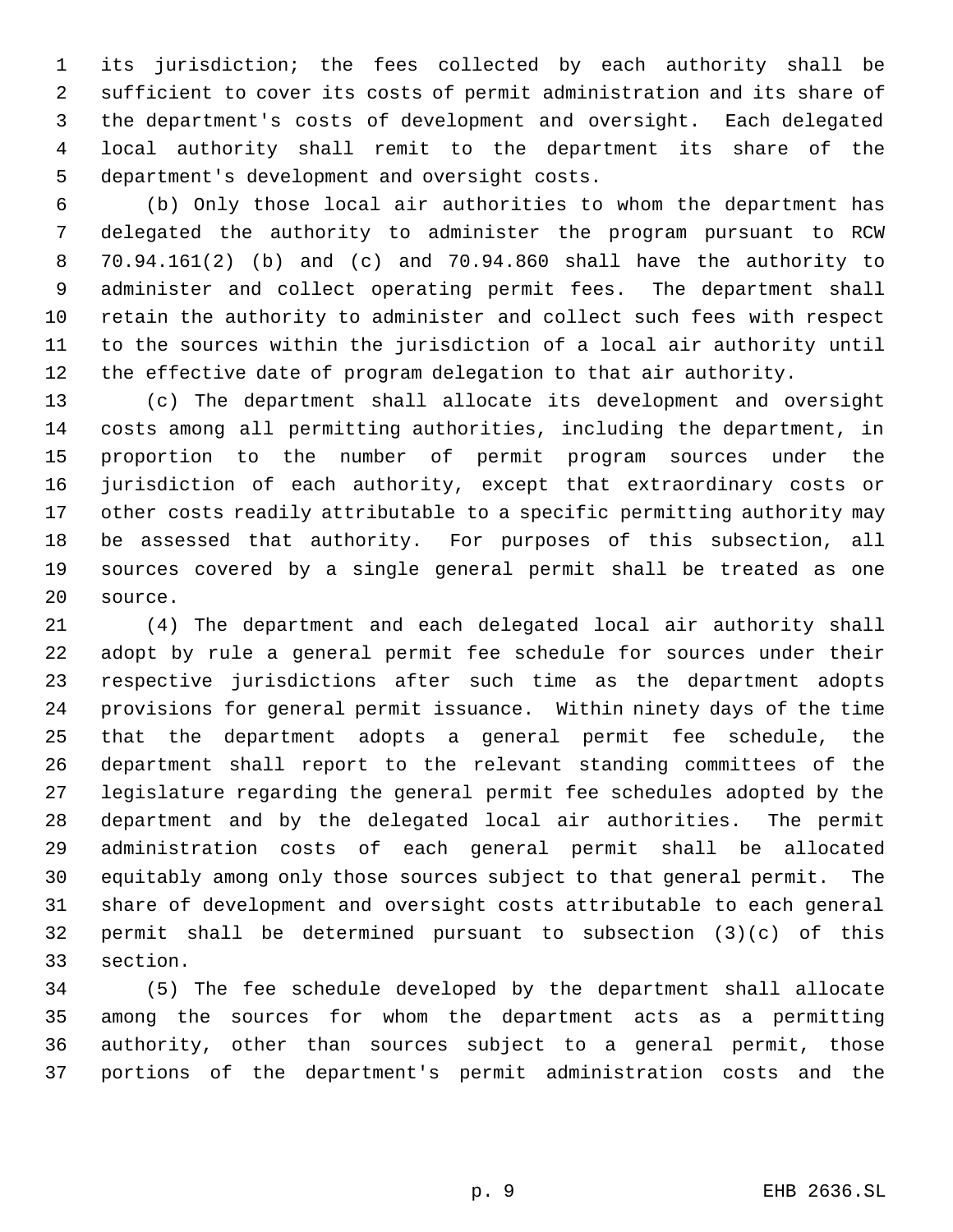its jurisdiction; the fees collected by each authority shall be sufficient to cover its costs of permit administration and its share of the department's costs of development and oversight. Each delegated local authority shall remit to the department its share of the department's development and oversight costs.

 (b) Only those local air authorities to whom the department has delegated the authority to administer the program pursuant to RCW 70.94.161(2) (b) and (c) and 70.94.860 shall have the authority to administer and collect operating permit fees. The department shall retain the authority to administer and collect such fees with respect to the sources within the jurisdiction of a local air authority until the effective date of program delegation to that air authority.

 (c) The department shall allocate its development and oversight costs among all permitting authorities, including the department, in proportion to the number of permit program sources under the jurisdiction of each authority, except that extraordinary costs or other costs readily attributable to a specific permitting authority may be assessed that authority. For purposes of this subsection, all sources covered by a single general permit shall be treated as one source.

 (4) The department and each delegated local air authority shall adopt by rule a general permit fee schedule for sources under their respective jurisdictions after such time as the department adopts provisions for general permit issuance. Within ninety days of the time that the department adopts a general permit fee schedule, the department shall report to the relevant standing committees of the legislature regarding the general permit fee schedules adopted by the department and by the delegated local air authorities. The permit administration costs of each general permit shall be allocated equitably among only those sources subject to that general permit. The share of development and oversight costs attributable to each general permit shall be determined pursuant to subsection (3)(c) of this section.

 (5) The fee schedule developed by the department shall allocate among the sources for whom the department acts as a permitting authority, other than sources subject to a general permit, those portions of the department's permit administration costs and the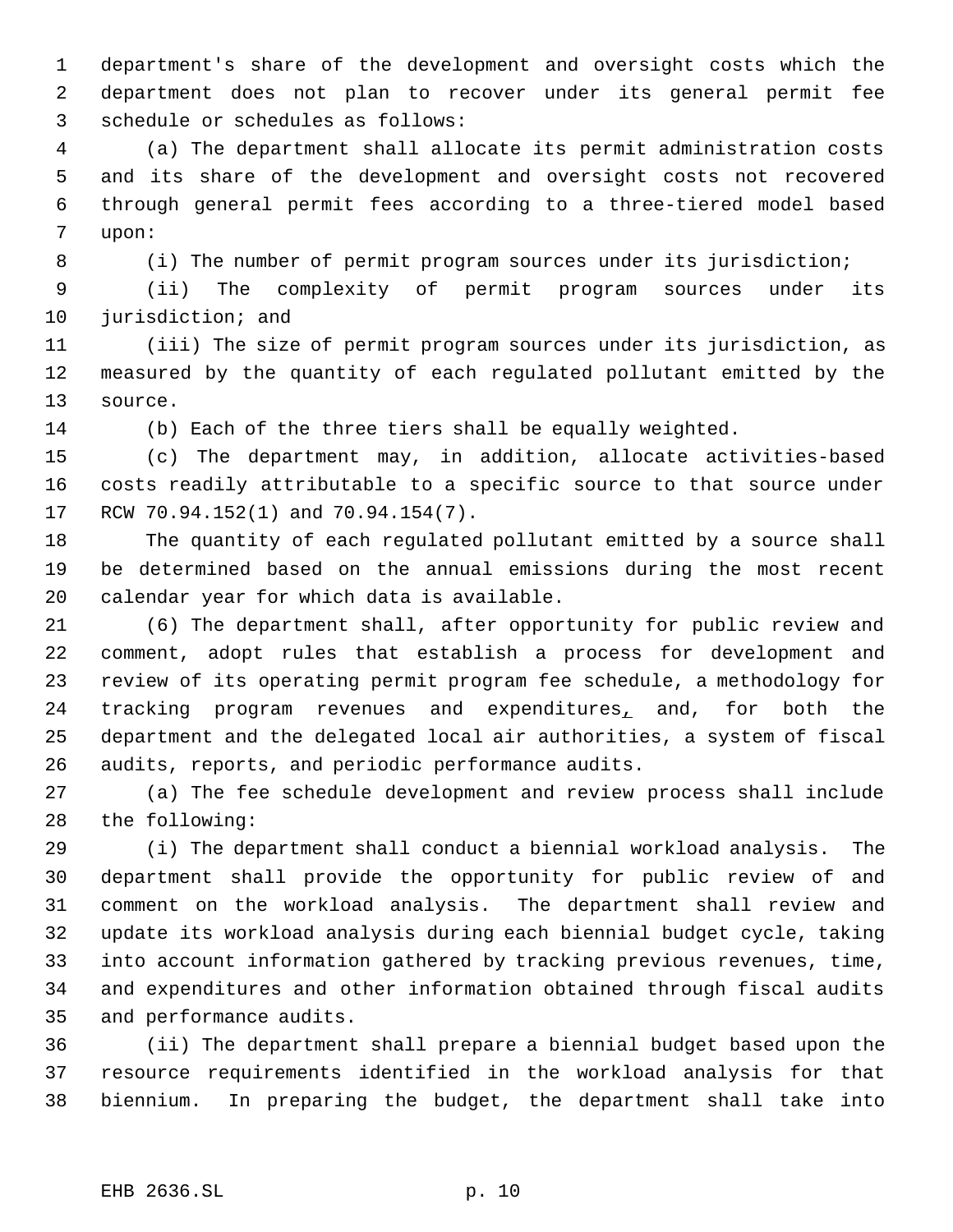department's share of the development and oversight costs which the department does not plan to recover under its general permit fee schedule or schedules as follows:

 (a) The department shall allocate its permit administration costs and its share of the development and oversight costs not recovered through general permit fees according to a three-tiered model based upon:

(i) The number of permit program sources under its jurisdiction;

 (ii) The complexity of permit program sources under its jurisdiction; and

 (iii) The size of permit program sources under its jurisdiction, as measured by the quantity of each regulated pollutant emitted by the source.

(b) Each of the three tiers shall be equally weighted.

 (c) The department may, in addition, allocate activities-based costs readily attributable to a specific source to that source under RCW 70.94.152(1) and 70.94.154(7).

 The quantity of each regulated pollutant emitted by a source shall be determined based on the annual emissions during the most recent calendar year for which data is available.

 (6) The department shall, after opportunity for public review and comment, adopt rules that establish a process for development and review of its operating permit program fee schedule, a methodology for 24 tracking program revenues and expenditures, and, for both the department and the delegated local air authorities, a system of fiscal audits, reports, and periodic performance audits.

 (a) The fee schedule development and review process shall include the following:

 (i) The department shall conduct a biennial workload analysis. The department shall provide the opportunity for public review of and comment on the workload analysis. The department shall review and update its workload analysis during each biennial budget cycle, taking into account information gathered by tracking previous revenues, time, and expenditures and other information obtained through fiscal audits and performance audits.

 (ii) The department shall prepare a biennial budget based upon the resource requirements identified in the workload analysis for that biennium. In preparing the budget, the department shall take into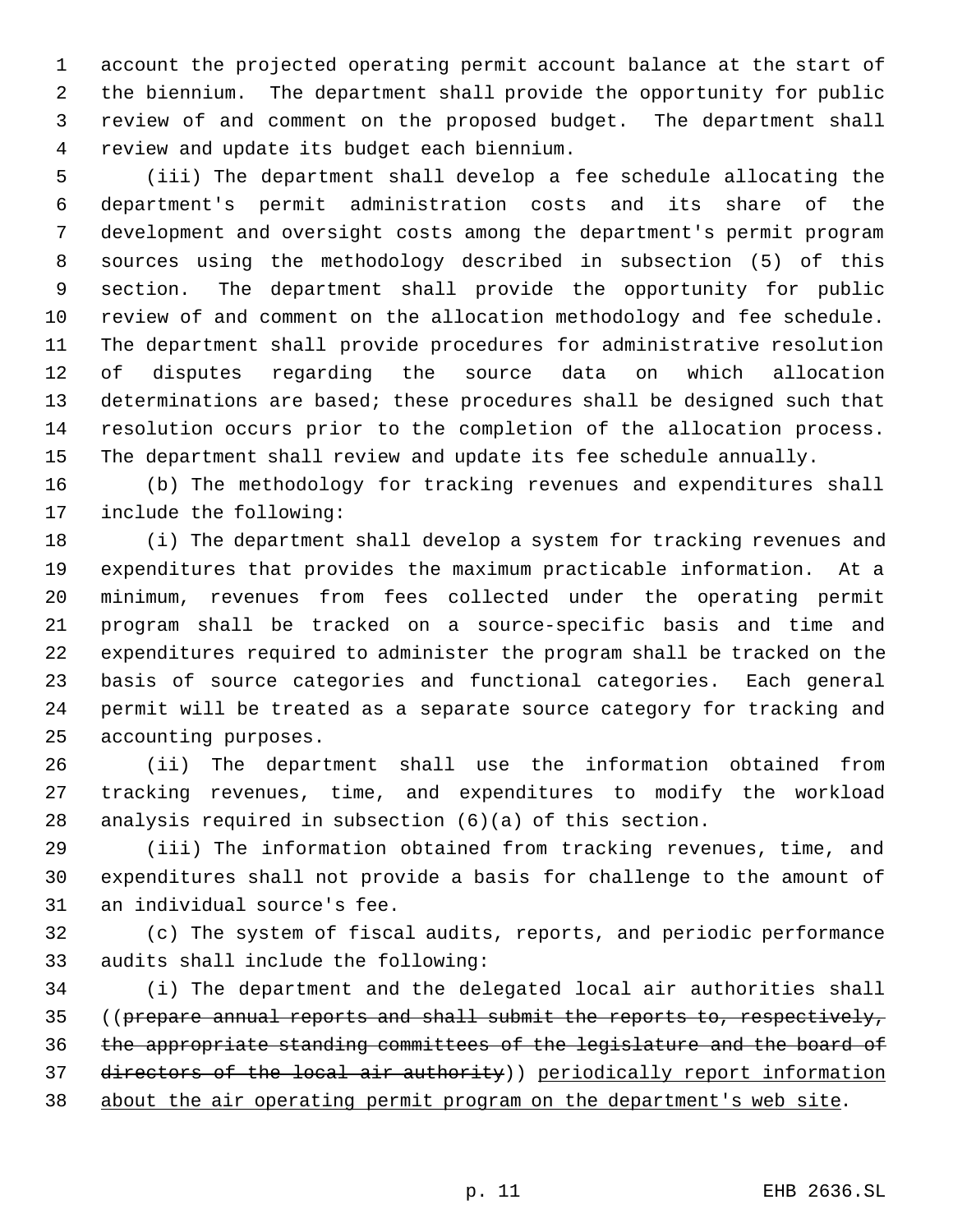account the projected operating permit account balance at the start of the biennium. The department shall provide the opportunity for public review of and comment on the proposed budget. The department shall review and update its budget each biennium.

 (iii) The department shall develop a fee schedule allocating the department's permit administration costs and its share of the development and oversight costs among the department's permit program sources using the methodology described in subsection (5) of this section. The department shall provide the opportunity for public review of and comment on the allocation methodology and fee schedule. The department shall provide procedures for administrative resolution of disputes regarding the source data on which allocation determinations are based; these procedures shall be designed such that resolution occurs prior to the completion of the allocation process. The department shall review and update its fee schedule annually.

 (b) The methodology for tracking revenues and expenditures shall include the following:

 (i) The department shall develop a system for tracking revenues and expenditures that provides the maximum practicable information. At a minimum, revenues from fees collected under the operating permit program shall be tracked on a source-specific basis and time and expenditures required to administer the program shall be tracked on the basis of source categories and functional categories. Each general permit will be treated as a separate source category for tracking and accounting purposes.

 (ii) The department shall use the information obtained from tracking revenues, time, and expenditures to modify the workload analysis required in subsection (6)(a) of this section.

 (iii) The information obtained from tracking revenues, time, and expenditures shall not provide a basis for challenge to the amount of an individual source's fee.

 (c) The system of fiscal audits, reports, and periodic performance audits shall include the following:

 (i) The department and the delegated local air authorities shall ((prepare annual reports and shall submit the reports to, respectively, the appropriate standing committees of the legislature and the board of directors of the local air authority)) periodically report information about the air operating permit program on the department's web site.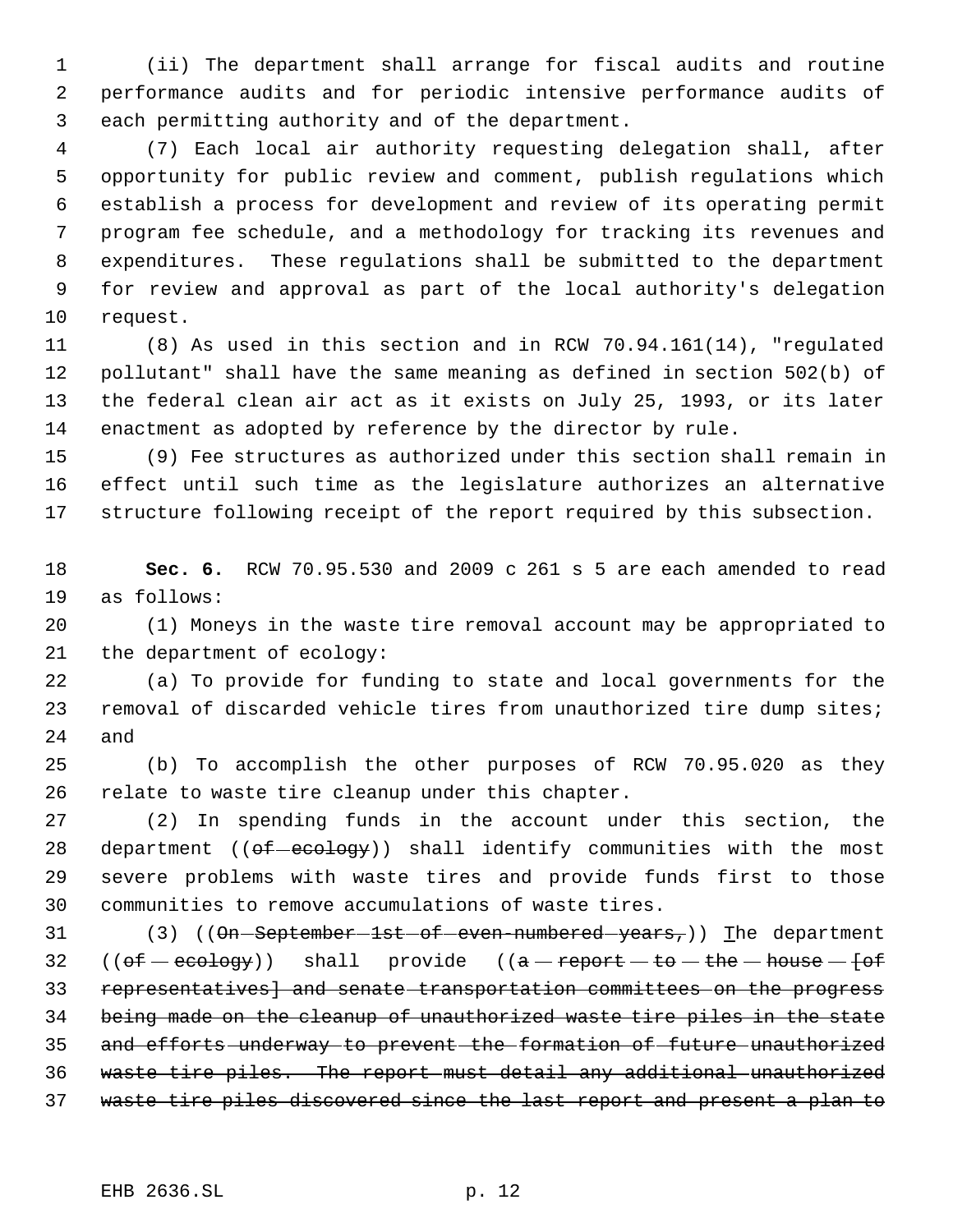(ii) The department shall arrange for fiscal audits and routine performance audits and for periodic intensive performance audits of each permitting authority and of the department.

 (7) Each local air authority requesting delegation shall, after opportunity for public review and comment, publish regulations which establish a process for development and review of its operating permit program fee schedule, and a methodology for tracking its revenues and expenditures. These regulations shall be submitted to the department for review and approval as part of the local authority's delegation request.

 (8) As used in this section and in RCW 70.94.161(14), "regulated pollutant" shall have the same meaning as defined in section 502(b) of the federal clean air act as it exists on July 25, 1993, or its later enactment as adopted by reference by the director by rule.

 (9) Fee structures as authorized under this section shall remain in effect until such time as the legislature authorizes an alternative structure following receipt of the report required by this subsection.

 **Sec. 6.** RCW 70.95.530 and 2009 c 261 s 5 are each amended to read as follows:

 (1) Moneys in the waste tire removal account may be appropriated to the department of ecology:

 (a) To provide for funding to state and local governments for the 23 removal of discarded vehicle tires from unauthorized tire dump sites; and

 (b) To accomplish the other purposes of RCW 70.95.020 as they relate to waste tire cleanup under this chapter.

 (2) In spending funds in the account under this section, the 28 department ( $(\theta f - \theta g)$ ) shall identify communities with the most severe problems with waste tires and provide funds first to those communities to remove accumulations of waste tires.

31 (3) ((On-September-1st-of-even-numbered-years,)) The department 32 (( $of -ecology$ )) shall provide (( $a - report - to - the - house - of$  representatives] and senate transportation committees on the progress being made on the cleanup of unauthorized waste tire piles in the state 35 and efforts underway to prevent the formation of future unauthorized waste tire piles. The report must detail any additional unauthorized waste tire piles discovered since the last report and present a plan to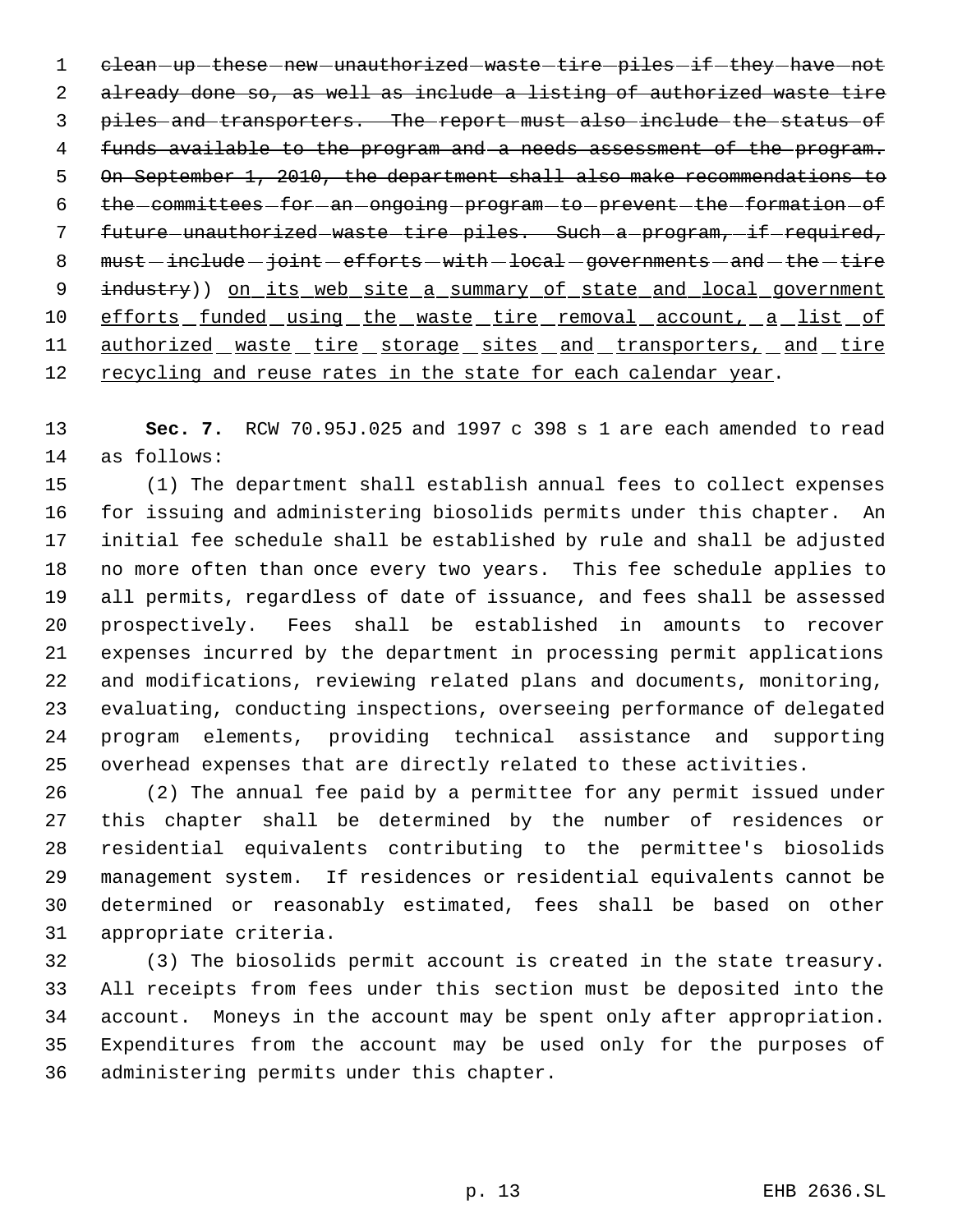1 clean -up these new -unauthorized waste tire piles if they have not already done so, as well as include a listing of authorized waste tire piles and transporters. The report must also include the status of funds available to the program and a needs assessment of the program. 5 On September 1, 2010, the department shall also make recommendations to 6 the committees for an ongoing program to prevent the formation of 7 future - unauthorized - waste - tire - piles. Such - a - program, - if - required,  $must - include - joint - efforts - with -local - governments - and - the - tire$ 9 industry)) on its web site a summary of state and local government 10 efforts funded using the waste tire removal account, a list of 11 authorized waste tire storage sites and transporters, and tire 12 recycling and reuse rates in the state for each calendar year.

 **Sec. 7.** RCW 70.95J.025 and 1997 c 398 s 1 are each amended to read as follows:

 (1) The department shall establish annual fees to collect expenses for issuing and administering biosolids permits under this chapter. An initial fee schedule shall be established by rule and shall be adjusted no more often than once every two years. This fee schedule applies to all permits, regardless of date of issuance, and fees shall be assessed prospectively. Fees shall be established in amounts to recover expenses incurred by the department in processing permit applications and modifications, reviewing related plans and documents, monitoring, evaluating, conducting inspections, overseeing performance of delegated program elements, providing technical assistance and supporting overhead expenses that are directly related to these activities.

 (2) The annual fee paid by a permittee for any permit issued under this chapter shall be determined by the number of residences or residential equivalents contributing to the permittee's biosolids management system. If residences or residential equivalents cannot be determined or reasonably estimated, fees shall be based on other appropriate criteria.

 (3) The biosolids permit account is created in the state treasury. All receipts from fees under this section must be deposited into the account. Moneys in the account may be spent only after appropriation. Expenditures from the account may be used only for the purposes of administering permits under this chapter.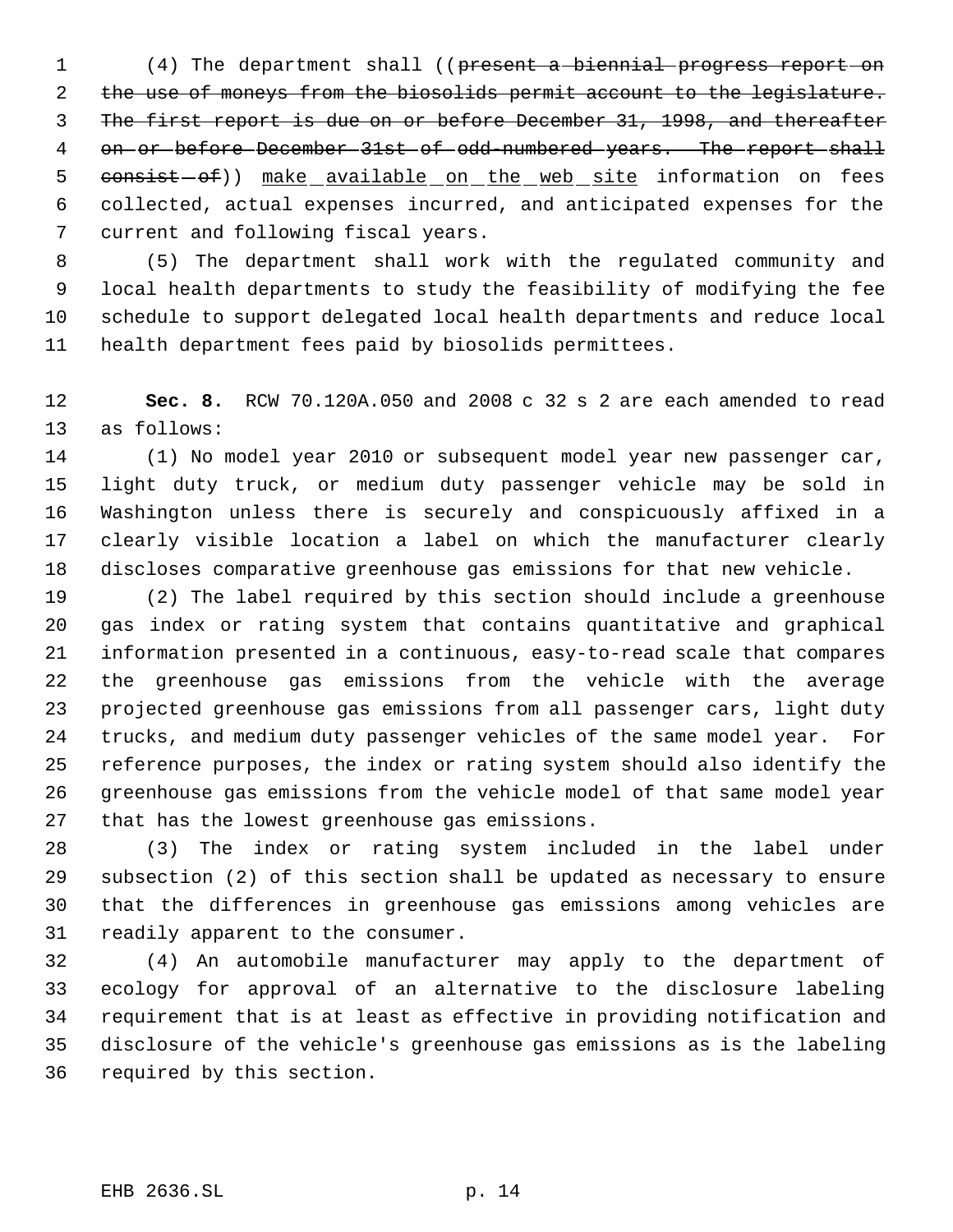1 (4) The department shall ((present a biennial progress report on the use of moneys from the biosolids permit account to the legislature. The first report is due on or before December 31, 1998, and thereafter 4 on or before December 31st of odd-numbered years. The report shall 5 consist-of)) make available on the web site information on fees collected, actual expenses incurred, and anticipated expenses for the current and following fiscal years.

 (5) The department shall work with the regulated community and local health departments to study the feasibility of modifying the fee schedule to support delegated local health departments and reduce local health department fees paid by biosolids permittees.

 **Sec. 8.** RCW 70.120A.050 and 2008 c 32 s 2 are each amended to read as follows:

 (1) No model year 2010 or subsequent model year new passenger car, light duty truck, or medium duty passenger vehicle may be sold in Washington unless there is securely and conspicuously affixed in a clearly visible location a label on which the manufacturer clearly discloses comparative greenhouse gas emissions for that new vehicle.

 (2) The label required by this section should include a greenhouse gas index or rating system that contains quantitative and graphical information presented in a continuous, easy-to-read scale that compares the greenhouse gas emissions from the vehicle with the average projected greenhouse gas emissions from all passenger cars, light duty trucks, and medium duty passenger vehicles of the same model year. For reference purposes, the index or rating system should also identify the greenhouse gas emissions from the vehicle model of that same model year that has the lowest greenhouse gas emissions.

 (3) The index or rating system included in the label under subsection (2) of this section shall be updated as necessary to ensure that the differences in greenhouse gas emissions among vehicles are readily apparent to the consumer.

 (4) An automobile manufacturer may apply to the department of ecology for approval of an alternative to the disclosure labeling requirement that is at least as effective in providing notification and disclosure of the vehicle's greenhouse gas emissions as is the labeling required by this section.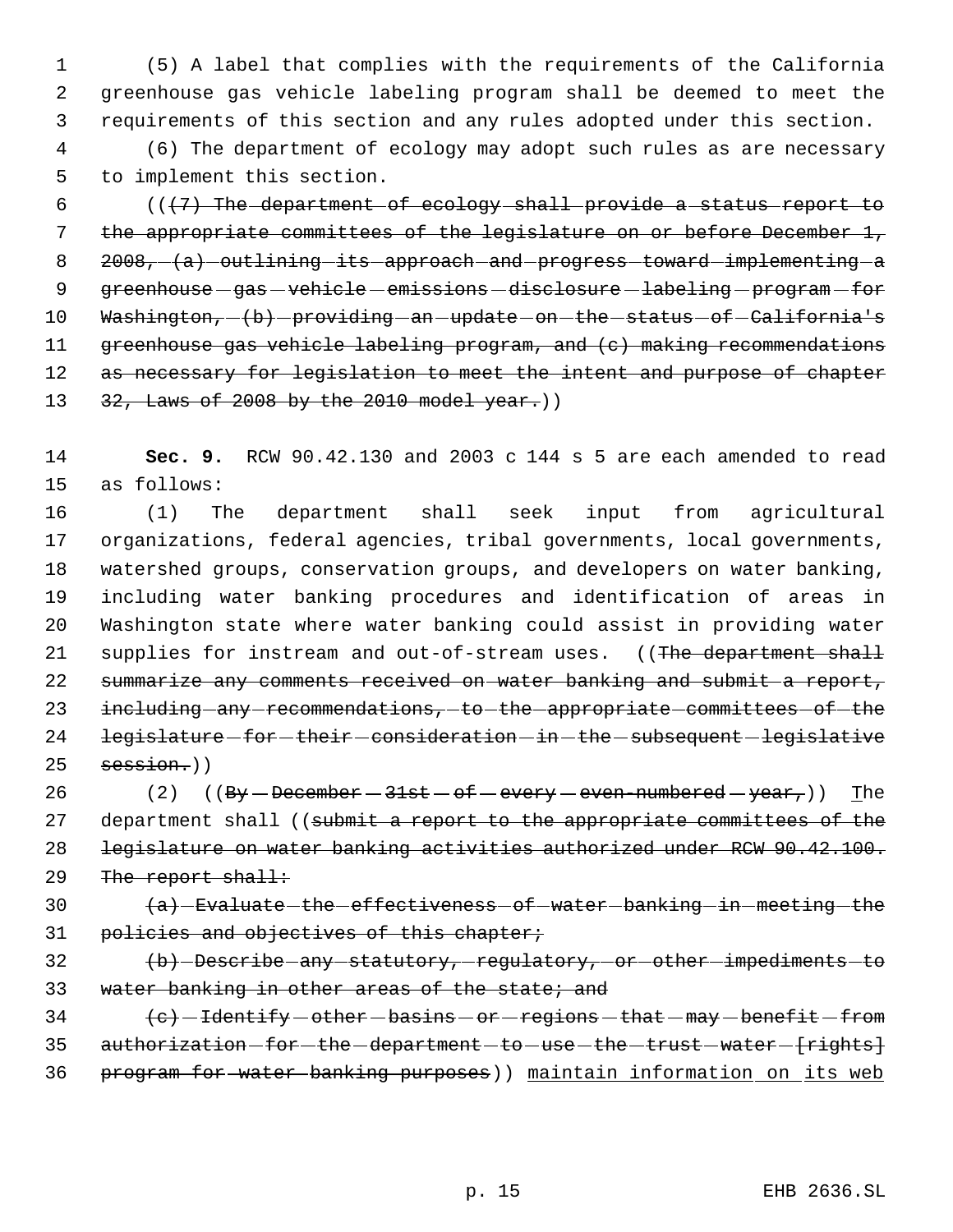1 (5) A label that complies with the requirements of the California 2 greenhouse gas vehicle labeling program shall be deemed to meet the 3 requirements of this section and any rules adopted under this section.

 4 (6) The department of ecology may adopt such rules as are necessary 5 to implement this section.

 $6$  ( $(\frac{7}{7})$  The department of ecology shall provide a status report to 7 the appropriate committees of the legislature on or before December 1, 8 2008,  $(a)$  outlining its approach and progress toward implementing a 9 greenhouse gas - vehicle - emissions - disclosure - labeling - program - for 10 Washington,  $-(b)$  -providing -an -update -on -the -status -of -California's 11 greenhouse gas vehicle labeling program, and (c) making recommendations 12 as necessary for legislation to meet the intent and purpose of chapter 13 32, Laws of 2008 by the 2010 model year.))

14 **Sec. 9.** RCW 90.42.130 and 2003 c 144 s 5 are each amended to read 15 as follows:

 (1) The department shall seek input from agricultural organizations, federal agencies, tribal governments, local governments, watershed groups, conservation groups, and developers on water banking, including water banking procedures and identification of areas in Washington state where water banking could assist in providing water 21 supplies for instream and out-of-stream uses. ((The department shall summarize any comments received on water banking and submit a report, 23 including any recommendations, to the appropriate committees of the 24 legislature - for - their - consideration - in - the - subsequent - legislative session.)

26 (2)  $(By - December - 31st - of - every - even-numbered - year, )$  The 27 department shall ((submit a report to the appropriate committees of the 28 legislature on water banking activities authorized under RCW 90.42.100. 29 The report shall:

30  $(a)$  -Evaluate the effectiveness of water banking in meeting the 31 policies and objectives of this chapter;

32 (b) Describe any statutory, regulatory, or other impediments to 33 water banking in other areas of the state; and

 $34$   $\left\{\mathrm{e}\right\}$  -Identify -other -basins -or -regions -that -may -benefit -from 35 authorization - for - the - department - to - use - the - trust - water - {rights} 36 program for water banking purposes)) maintain information on its web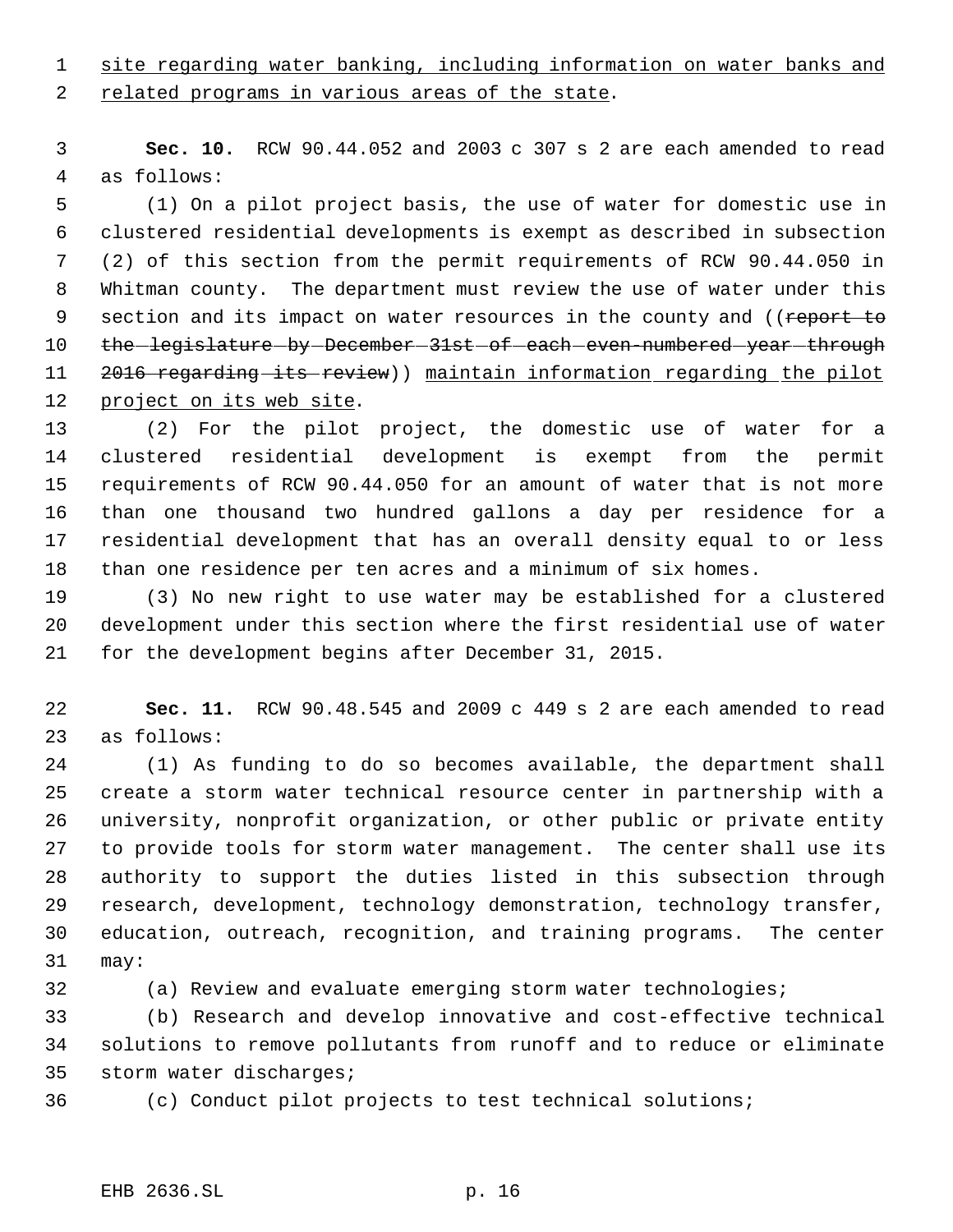site regarding water banking, including information on water banks and 2 related programs in various areas of the state.

 **Sec. 10.** RCW 90.44.052 and 2003 c 307 s 2 are each amended to read as follows:

 (1) On a pilot project basis, the use of water for domestic use in clustered residential developments is exempt as described in subsection (2) of this section from the permit requirements of RCW 90.44.050 in Whitman county. The department must review the use of water under this 9 section and its impact on water resources in the county and ((report to 10 the legislature by December 31st of each even numbered year through 11 2016 regarding its review)) maintain information regarding the pilot 12 project on its web site.

 (2) For the pilot project, the domestic use of water for a clustered residential development is exempt from the permit requirements of RCW 90.44.050 for an amount of water that is not more than one thousand two hundred gallons a day per residence for a residential development that has an overall density equal to or less than one residence per ten acres and a minimum of six homes.

 (3) No new right to use water may be established for a clustered development under this section where the first residential use of water for the development begins after December 31, 2015.

 **Sec. 11.** RCW 90.48.545 and 2009 c 449 s 2 are each amended to read as follows:

 (1) As funding to do so becomes available, the department shall create a storm water technical resource center in partnership with a university, nonprofit organization, or other public or private entity to provide tools for storm water management. The center shall use its authority to support the duties listed in this subsection through research, development, technology demonstration, technology transfer, education, outreach, recognition, and training programs. The center may:

(a) Review and evaluate emerging storm water technologies;

 (b) Research and develop innovative and cost-effective technical solutions to remove pollutants from runoff and to reduce or eliminate storm water discharges;

- 
- (c) Conduct pilot projects to test technical solutions;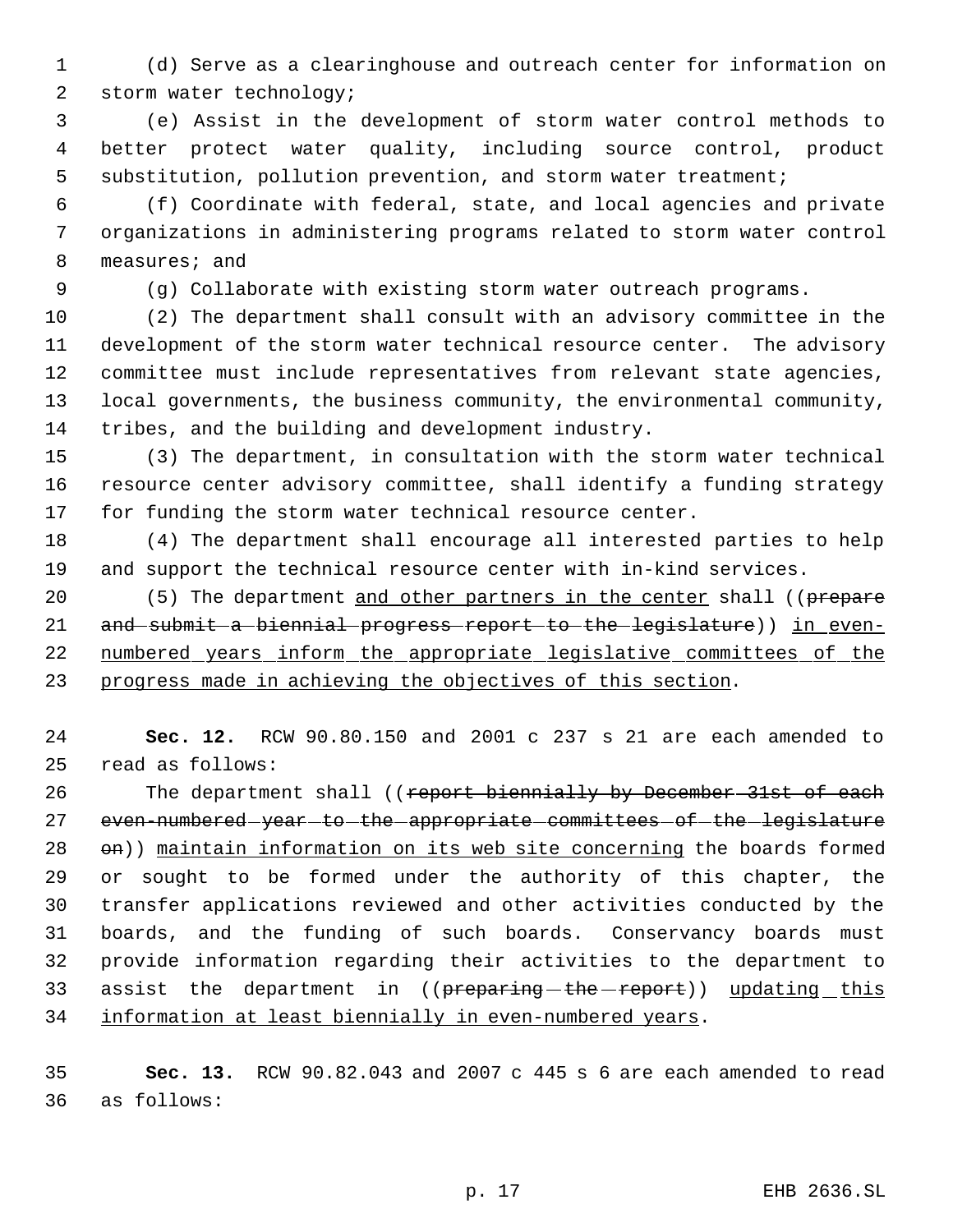(d) Serve as a clearinghouse and outreach center for information on storm water technology;

 (e) Assist in the development of storm water control methods to better protect water quality, including source control, product substitution, pollution prevention, and storm water treatment;

 (f) Coordinate with federal, state, and local agencies and private organizations in administering programs related to storm water control measures; and

(g) Collaborate with existing storm water outreach programs.

 (2) The department shall consult with an advisory committee in the development of the storm water technical resource center. The advisory committee must include representatives from relevant state agencies, local governments, the business community, the environmental community, tribes, and the building and development industry.

 (3) The department, in consultation with the storm water technical resource center advisory committee, shall identify a funding strategy for funding the storm water technical resource center.

 (4) The department shall encourage all interested parties to help and support the technical resource center with in-kind services.

20 (5) The department and other partners in the center shall ((prepare 21 and submit a biennial progress report to the legislature)) in even-22 numbered years inform the appropriate legislative committees of the progress made in achieving the objectives of this section.

 **Sec. 12.** RCW 90.80.150 and 2001 c 237 s 21 are each amended to read as follows:

26 The department shall ((report biennially by December 31st of each 27 even-numbered-year-to-the-appropriate-committees-of-the-legislature 28 on)) maintain information on its web site concerning the boards formed or sought to be formed under the authority of this chapter, the transfer applications reviewed and other activities conducted by the boards, and the funding of such boards. Conservancy boards must provide information regarding their activities to the department to 33 assist the department in ((preparing-the-report)) updating this information at least biennially in even-numbered years.

 **Sec. 13.** RCW 90.82.043 and 2007 c 445 s 6 are each amended to read as follows: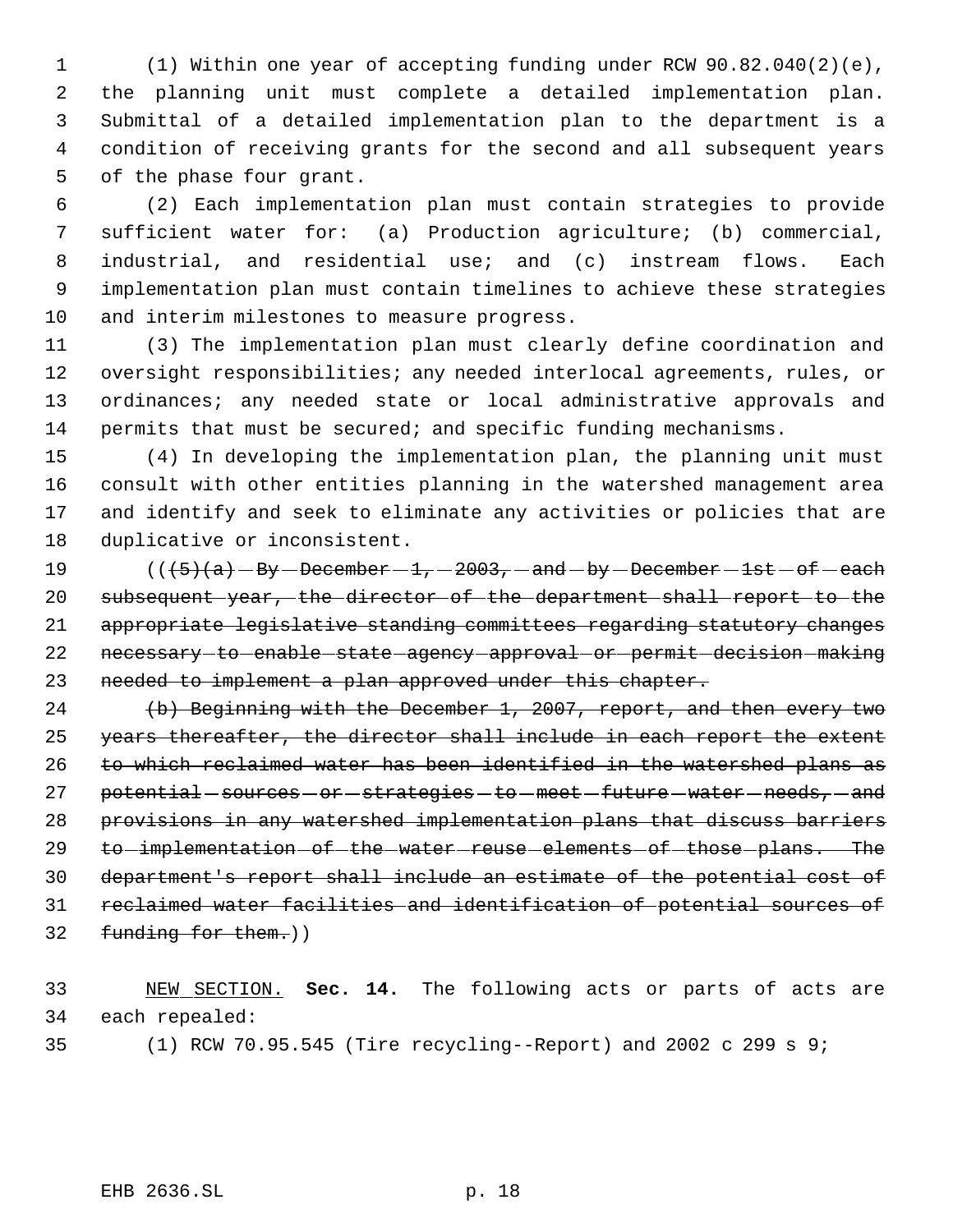(1) Within one year of accepting funding under RCW 90.82.040(2)(e), the planning unit must complete a detailed implementation plan. Submittal of a detailed implementation plan to the department is a condition of receiving grants for the second and all subsequent years of the phase four grant.

 (2) Each implementation plan must contain strategies to provide sufficient water for: (a) Production agriculture; (b) commercial, industrial, and residential use; and (c) instream flows. Each implementation plan must contain timelines to achieve these strategies and interim milestones to measure progress.

 (3) The implementation plan must clearly define coordination and oversight responsibilities; any needed interlocal agreements, rules, or ordinances; any needed state or local administrative approvals and permits that must be secured; and specific funding mechanisms.

 (4) In developing the implementation plan, the planning unit must consult with other entities planning in the watershed management area and identify and seek to eliminate any activities or policies that are duplicative or inconsistent.

 $((\frac{1}{5}(a) - By - December - 1, -2003, -and - by - December - 1st - of - each$  subsequent year, the director of the department shall report to the appropriate legislative standing committees regarding statutory changes 22 necessary-to-enable-state-agency-approval-or-permit-decision-making needed to implement a plan approved under this chapter.

 (b) Beginning with the December 1, 2007, report, and then every two 25 years thereafter, the director shall include in each report the extent to which reclaimed water has been identified in the watershed plans as 27 potential - sources - or - strategies - to - meet - future - water - needs, - and provisions in any watershed implementation plans that discuss barriers 29 to-implementation-of-the-water-reuse-elements-of-those-plans. The department's report shall include an estimate of the potential cost of reclaimed water facilities and identification of potential sources of funding for them.))

 NEW SECTION. **Sec. 14.** The following acts or parts of acts are each repealed:

(1) RCW 70.95.545 (Tire recycling--Report) and 2002 c 299 s 9;